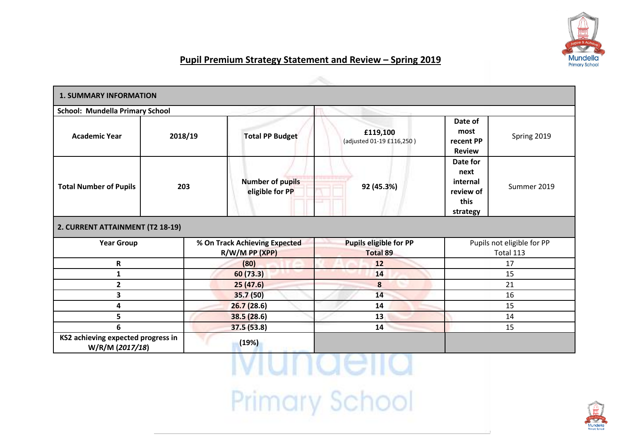

## **Pupil Premium Strategy Statement and Review – Spring 2019**

| <b>1. SUMMARY INFORMATION</b>                         |            |                                                                 |                                                  |                                                              |                                                                              |  |
|-------------------------------------------------------|------------|-----------------------------------------------------------------|--------------------------------------------------|--------------------------------------------------------------|------------------------------------------------------------------------------|--|
| <b>School: Mundella Primary School</b>                |            |                                                                 |                                                  |                                                              |                                                                              |  |
| <b>Academic Year</b>                                  | 2018/19    | £119,100<br><b>Total PP Budget</b><br>(adjusted 01-19 £116,250) |                                                  | Date of<br>most<br>Spring 2019<br>recent PP<br><b>Review</b> |                                                                              |  |
| <b>Total Number of Pupils</b>                         | 203        | <b>Number of pupils</b><br>eligible for PP                      | 92 (45.3%)                                       |                                                              | Date for<br>next<br>internal<br>Summer 2019<br>review of<br>this<br>strategy |  |
| 2. CURRENT ATTAINMENT (T2 18-19)                      |            |                                                                 |                                                  |                                                              |                                                                              |  |
| <b>Year Group</b>                                     |            | % On Track Achieving Expected<br>$R/W/M$ PP (XPP)               | <b>Pupils eligible for PP</b><br><b>Total 89</b> | Pupils not eligible for PP<br>Total 113                      |                                                                              |  |
| R                                                     | (80)<br>12 |                                                                 |                                                  | 17                                                           |                                                                              |  |
| 1                                                     |            | 60 (73.3)                                                       | 14                                               |                                                              | 15                                                                           |  |
| $\mathbf{2}$                                          |            | 25(47.6)                                                        | 8                                                | 21                                                           |                                                                              |  |
| 3                                                     |            | 35.7 (50)                                                       | 14                                               | 16                                                           |                                                                              |  |
| 4                                                     |            | 26.7(28.6)                                                      | 14                                               | 15                                                           |                                                                              |  |
| 5                                                     |            | 38.5(28.6)                                                      | 13                                               | 14                                                           |                                                                              |  |
| 6                                                     |            | 37.5(53.8)                                                      | 14                                               | 15                                                           |                                                                              |  |
| KS2 achieving expected progress in<br>W/R/M (2017/18) |            | (19%)                                                           |                                                  |                                                              |                                                                              |  |

## <u>MULIACII</u> Primary School

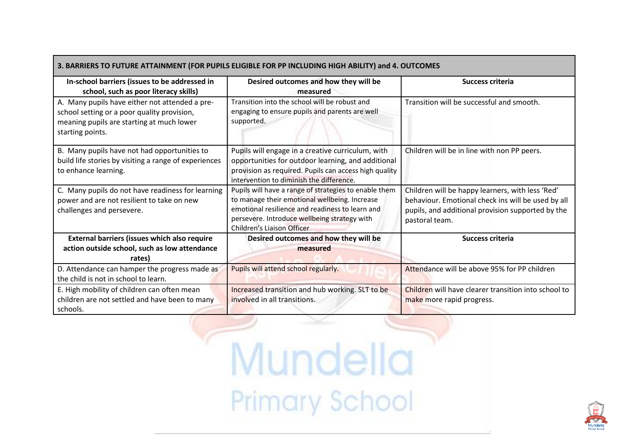| 3. BARRIERS TO FUTURE ATTAINMENT (FOR PUPILS ELIGIBLE FOR PP INCLUDING HIGH ABILITY) and 4. OUTCOMES                                                           |                                                                                                                                                                                                                                         |                                                                                                                                                                               |  |  |
|----------------------------------------------------------------------------------------------------------------------------------------------------------------|-----------------------------------------------------------------------------------------------------------------------------------------------------------------------------------------------------------------------------------------|-------------------------------------------------------------------------------------------------------------------------------------------------------------------------------|--|--|
| In-school barriers (issues to be addressed in<br>school, such as poor literacy skills)                                                                         | Desired outcomes and how they will be<br>measured                                                                                                                                                                                       | <b>Success criteria</b>                                                                                                                                                       |  |  |
| A. Many pupils have either not attended a pre-<br>school setting or a poor quality provision,<br>meaning pupils are starting at much lower<br>starting points. | Transition into the school will be robust and<br>engaging to ensure pupils and parents are well<br>supported.                                                                                                                           | Transition will be successful and smooth.                                                                                                                                     |  |  |
| B. Many pupils have not had opportunities to<br>build life stories by visiting a range of experiences<br>to enhance learning.                                  | Pupils will engage in a creative curriculum, with<br>opportunities for outdoor learning, and additional<br>provision as required. Pupils can access high quality<br>intervention to diminish the difference.                            | Children will be in line with non PP peers.                                                                                                                                   |  |  |
| C. Many pupils do not have readiness for learning<br>power and are not resilient to take on new<br>challenges and persevere.                                   | Pupils will have a range of strategies to enable them<br>to manage their emotional wellbeing. Increase<br>emotional resilience and readiness to learn and<br>persevere. Introduce wellbeing strategy with<br>Children's Liaison Officer | Children will be happy learners, with less 'Red'<br>behaviour. Emotional check ins will be used by all<br>pupils, and additional provision supported by the<br>pastoral team. |  |  |
| External barriers (issues which also require<br>action outside school, such as low attendance<br>rates)                                                        | Desired outcomes and how they will be<br>measured                                                                                                                                                                                       | Success criteria                                                                                                                                                              |  |  |
| D. Attendance can hamper the progress made as<br>the child is not in school to learn.                                                                          | Pupils will attend school regularly.                                                                                                                                                                                                    | Attendance will be above 95% for PP children                                                                                                                                  |  |  |
| E. High mobility of children can often mean<br>children are not settled and have been to many<br>schools.                                                      | Increased transition and hub working. SLT to be<br>involved in all transitions.                                                                                                                                                         | Children will have clearer transition into school to<br>make more rapid progress.                                                                                             |  |  |

Mundella Primary School

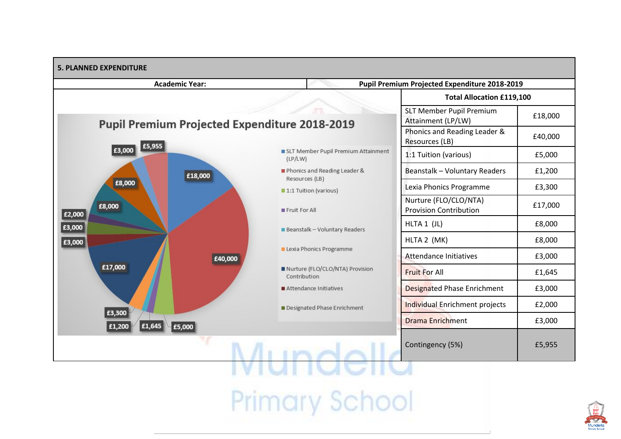

**Primary School** 

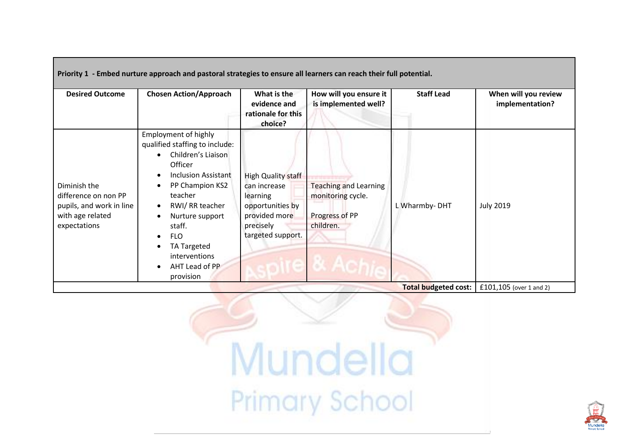|                                                                                                      | Priority 1 - Embed nurture approach and pastoral strategies to ensure all learners can reach their full potential.                                                                                                                                                                                         |                                                                                                                              |                                                                                  |                             |                                         |
|------------------------------------------------------------------------------------------------------|------------------------------------------------------------------------------------------------------------------------------------------------------------------------------------------------------------------------------------------------------------------------------------------------------------|------------------------------------------------------------------------------------------------------------------------------|----------------------------------------------------------------------------------|-----------------------------|-----------------------------------------|
| <b>Desired Outcome</b>                                                                               | <b>Chosen Action/Approach</b>                                                                                                                                                                                                                                                                              | What is the<br>evidence and<br>rationale for this<br>choice?                                                                 | How will you ensure it<br>is implemented well?                                   | <b>Staff Lead</b>           | When will you review<br>implementation? |
| Diminish the<br>difference on non PP<br>pupils, and work in line<br>with age related<br>expectations | Employment of highly<br>qualified staffing to include:<br>Children's Liaison<br>Officer<br><b>Inclusion Assistant</b><br>PP Champion KS2<br>teacher<br>RWI/ RR teacher<br>$\bullet$<br>Nurture support<br>staff.<br><b>FLO</b><br>$\bullet$<br>TA Targeted<br>interventions<br>AHT Lead of PP<br>provision | <b>High Quality staff</b><br>can increase<br>learning<br>opportunities by<br>provided more<br>precisely<br>targeted support. | <b>Teaching and Learning</b><br>monitoring cycle.<br>Progress of PP<br>children. | L Wharmby-DHT               | <b>July 2019</b>                        |
|                                                                                                      |                                                                                                                                                                                                                                                                                                            |                                                                                                                              |                                                                                  | <b>Total budgeted cost:</b> | £101,105 (over 1 and 2)                 |

Mundella Primary School

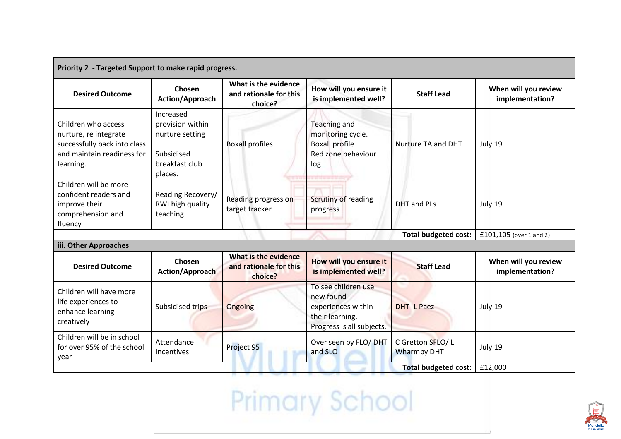| Priority 2 - Targeted Support to make rapid progress.                                                                   |                                                                                             |                                                           |                                                                                                        |                                        |                                         |
|-------------------------------------------------------------------------------------------------------------------------|---------------------------------------------------------------------------------------------|-----------------------------------------------------------|--------------------------------------------------------------------------------------------------------|----------------------------------------|-----------------------------------------|
| <b>Desired Outcome</b>                                                                                                  | Chosen<br>Action/Approach                                                                   | What is the evidence<br>and rationale for this<br>choice? | How will you ensure it<br>is implemented well?                                                         | <b>Staff Lead</b>                      | When will you review<br>implementation? |
| Children who access<br>nurture, re integrate<br>successfully back into class<br>and maintain readiness for<br>learning. | Increased<br>provision within<br>nurture setting<br>Subsidised<br>breakfast club<br>places. | <b>Boxall profiles</b>                                    | <b>Teaching and</b><br>monitoring cycle.<br><b>Boxall profile</b><br>Red zone behaviour<br>log         | Nurture TA and DHT                     | July 19                                 |
| Children will be more<br>confident readers and<br>improve their<br>comprehension and<br>fluency                         | Reading Recovery/<br>RWI high quality<br>teaching.                                          | Reading progress on<br>target tracker                     | Scrutiny of reading<br>progress                                                                        | <b>DHT</b> and PLs                     | July 19                                 |
| <b>Total budgeted cost:</b>                                                                                             |                                                                                             |                                                           |                                                                                                        |                                        | £101,105 (over 1 and 2)                 |
| iii. Other Approaches                                                                                                   |                                                                                             |                                                           |                                                                                                        |                                        |                                         |
| <b>Desired Outcome</b>                                                                                                  | Chosen<br>Action/Approach                                                                   | What is the evidence<br>and rationale for this<br>choice? | How will you ensure it<br>is implemented well?                                                         | <b>Staff Lead</b>                      | When will you review<br>implementation? |
| Children will have more<br>life experiences to<br>enhance learning<br>creatively                                        | Subsidised trips                                                                            | Ongoing                                                   | To see children use<br>new found<br>experiences within<br>their learning.<br>Progress is all subjects. | <b>DHT-LPaez</b>                       | July 19                                 |
| Children will be in school<br>for over 95% of the school<br>year                                                        | Attendance<br><b>Incentives</b>                                                             | Project 95                                                | Over seen by FLO/ DHT<br>and SLO                                                                       | C Gretton SFLO/L<br><b>Wharmby DHT</b> | July 19                                 |
| <b>Total budgeted cost:</b>                                                                                             |                                                                                             |                                                           |                                                                                                        |                                        | £12,000                                 |

Primary School